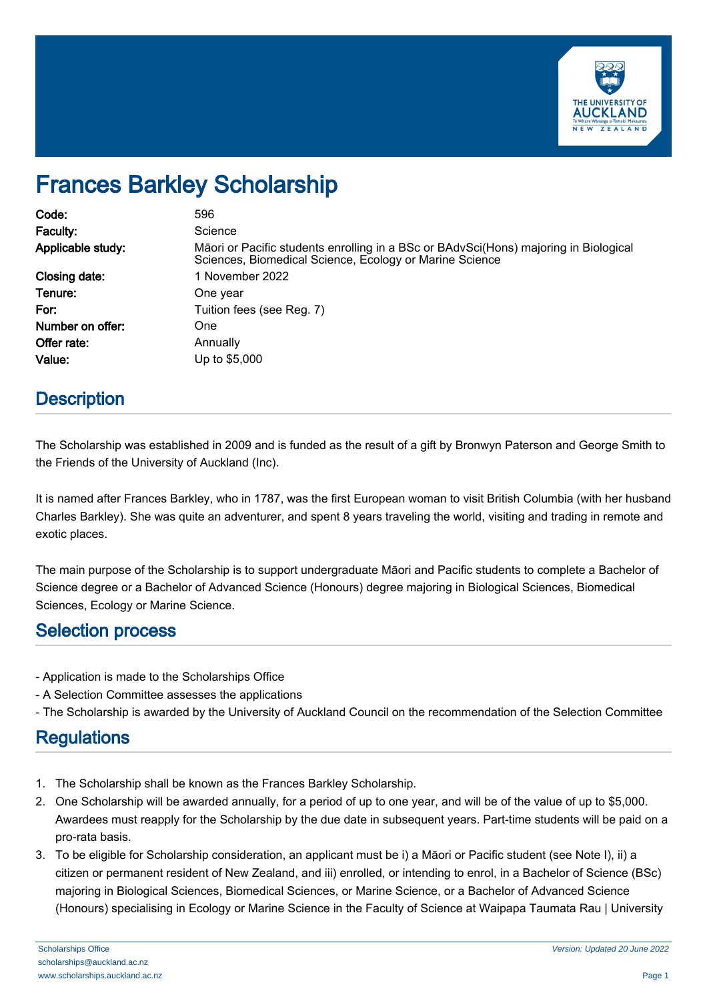

# Frances Barkley Scholarship

| Code:             | 596                                                                                                                                             |
|-------------------|-------------------------------------------------------------------------------------------------------------------------------------------------|
| Faculty:          | Science                                                                                                                                         |
| Applicable study: | Māori or Pacific students enrolling in a BSc or BAdvSci(Hons) majoring in Biological<br>Sciences, Biomedical Science, Ecology or Marine Science |
| Closing date:     | 1 November 2022                                                                                                                                 |
| Tenure:           | One year                                                                                                                                        |
| For:              | Tuition fees (see Reg. 7)                                                                                                                       |
| Number on offer:  | One                                                                                                                                             |
| Offer rate:       | Annually                                                                                                                                        |
| Value:            | Up to \$5,000                                                                                                                                   |

## **Description**

The Scholarship was established in 2009 and is funded as the result of a gift by Bronwyn Paterson and George Smith to the Friends of the University of Auckland (Inc).

It is named after Frances Barkley, who in 1787, was the first European woman to visit British Columbia (with her husband Charles Barkley). She was quite an adventurer, and spent 8 years traveling the world, visiting and trading in remote and exotic places.

The main purpose of the Scholarship is to support undergraduate Māori and Pacific students to complete a Bachelor of Science degree or a Bachelor of Advanced Science (Honours) degree majoring in Biological Sciences, Biomedical Sciences, Ecology or Marine Science.

#### Selection process

- Application is made to the Scholarships Office
- A Selection Committee assesses the applications
- The Scholarship is awarded by the University of Auckland Council on the recommendation of the Selection Committee

## **Regulations**

- 1. The Scholarship shall be known as the Frances Barkley Scholarship.
- 2. One Scholarship will be awarded annually, for a period of up to one year, and will be of the value of up to \$5,000. Awardees must reapply for the Scholarship by the due date in subsequent years. Part-time students will be paid on a pro-rata basis.
- 3. To be eligible for Scholarship consideration, an applicant must be i) a Māori or Pacific student (see Note I), ii) a citizen or permanent resident of New Zealand, and iii) enrolled, or intending to enrol, in a Bachelor of Science (BSc) majoring in Biological Sciences, Biomedical Sciences, or Marine Science, or a Bachelor of Advanced Science (Honours) specialising in Ecology or Marine Science in the Faculty of Science at Waipapa Taumata Rau | University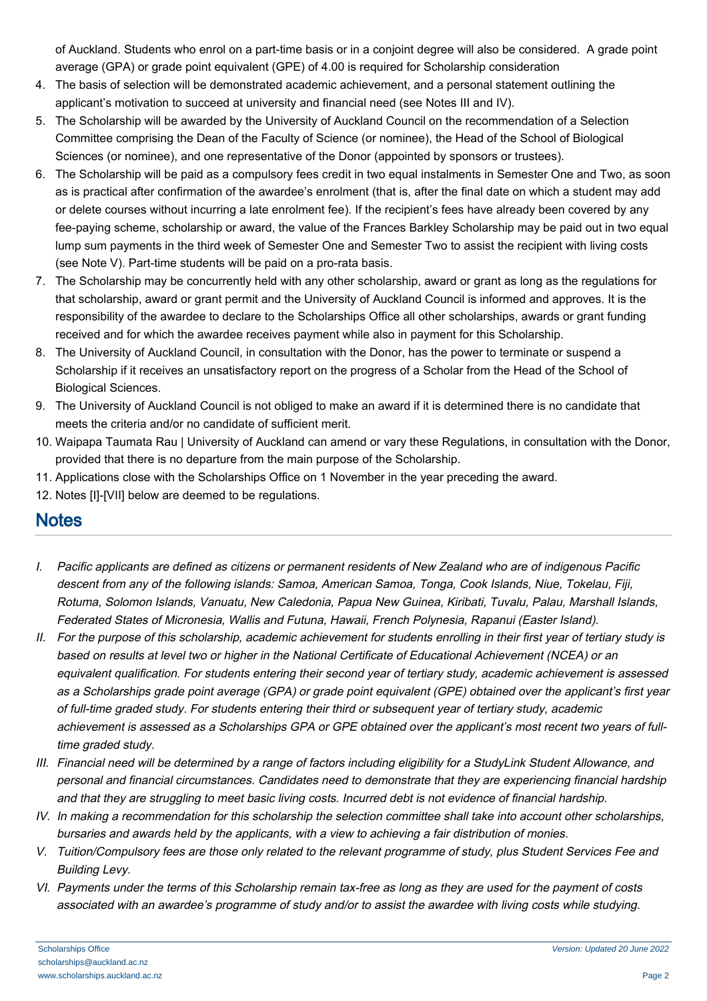of Auckland. Students who enrol on a part-time basis or in a conjoint degree will also be considered. A grade point average (GPA) or grade point equivalent (GPE) of 4.00 is required for Scholarship consideration

- 4. The basis of selection will be demonstrated academic achievement, and a personal statement outlining the applicant's motivation to succeed at university and financial need (see Notes III and IV).
- 5. The Scholarship will be awarded by the University of Auckland Council on the recommendation of a Selection Committee comprising the Dean of the Faculty of Science (or nominee), the Head of the School of Biological Sciences (or nominee), and one representative of the Donor (appointed by sponsors or trustees).
- 6. The Scholarship will be paid as a compulsory fees credit in two equal instalments in Semester One and Two, as soon as is practical after confirmation of the awardee's enrolment (that is, after the final date on which a student may add or delete courses without incurring a late enrolment fee). If the recipient's fees have already been covered by any fee-paying scheme, scholarship or award, the value of the Frances Barkley Scholarship may be paid out in two equal lump sum payments in the third week of Semester One and Semester Two to assist the recipient with living costs (see Note V). Part-time students will be paid on a pro-rata basis.
- 7. The Scholarship may be concurrently held with any other scholarship, award or grant as long as the regulations for that scholarship, award or grant permit and the University of Auckland Council is informed and approves. It is the responsibility of the awardee to declare to the Scholarships Office all other scholarships, awards or grant funding received and for which the awardee receives payment while also in payment for this Scholarship.
- 8. The University of Auckland Council, in consultation with the Donor, has the power to terminate or suspend a Scholarship if it receives an unsatisfactory report on the progress of a Scholar from the Head of the School of Biological Sciences.
- 9. The University of Auckland Council is not obliged to make an award if it is determined there is no candidate that meets the criteria and/or no candidate of sufficient merit.
- 10. Waipapa Taumata Rau | University of Auckland can amend or vary these Regulations, in consultation with the Donor, provided that there is no departure from the main purpose of the Scholarship.
- 11. Applications close with the Scholarships Office on 1 November in the year preceding the award.
- 12. Notes [I]-[VII] below are deemed to be regulations.

# **Notes**

- I. Pacific applicants are defined as citizens or permanent residents of New Zealand who are of indigenous Pacific descent from any of the following islands: Samoa, American Samoa, Tonga, Cook Islands, Niue, Tokelau, Fiji, Rotuma, Solomon Islands, Vanuatu, New Caledonia, Papua New Guinea, Kiribati, Tuvalu, Palau, Marshall Islands, Federated States of Micronesia, Wallis and Futuna, Hawaii, French Polynesia, Rapanui (Easter Island).
- II. For the purpose of this scholarship, academic achievement for students enrolling in their first year of tertiary study is based on results at level two or higher in the National Certificate of Educational Achievement (NCEA) or an equivalent qualification. For students entering their second year of tertiary study, academic achievement is assessed as a Scholarships grade point average (GPA) or grade point equivalent (GPE) obtained over the applicant's first year of full-time graded study. For students entering their third or subsequent year of tertiary study, academic achievement is assessed as a Scholarships GPA or GPE obtained over the applicant's most recent two years of fulltime graded study.
- III. Financial need will be determined by a range of factors including eligibility for a StudyLink Student Allowance, and personal and financial circumstances. Candidates need to demonstrate that they are experiencing financial hardship and that they are struggling to meet basic living costs. Incurred debt is not evidence of financial hardship.
- IV. In making a recommendation for this scholarship the selection committee shall take into account other scholarships, bursaries and awards held by the applicants, with a view to achieving a fair distribution of monies.
- V. Tuition/Compulsory fees are those only related to the relevant programme of study, plus Student Services Fee and Building Levy.
- VI. Payments under the terms of this Scholarship remain tax-free as long as they are used for the payment of costs associated with an awardee's programme of study and/or to assist the awardee with living costs while studying.